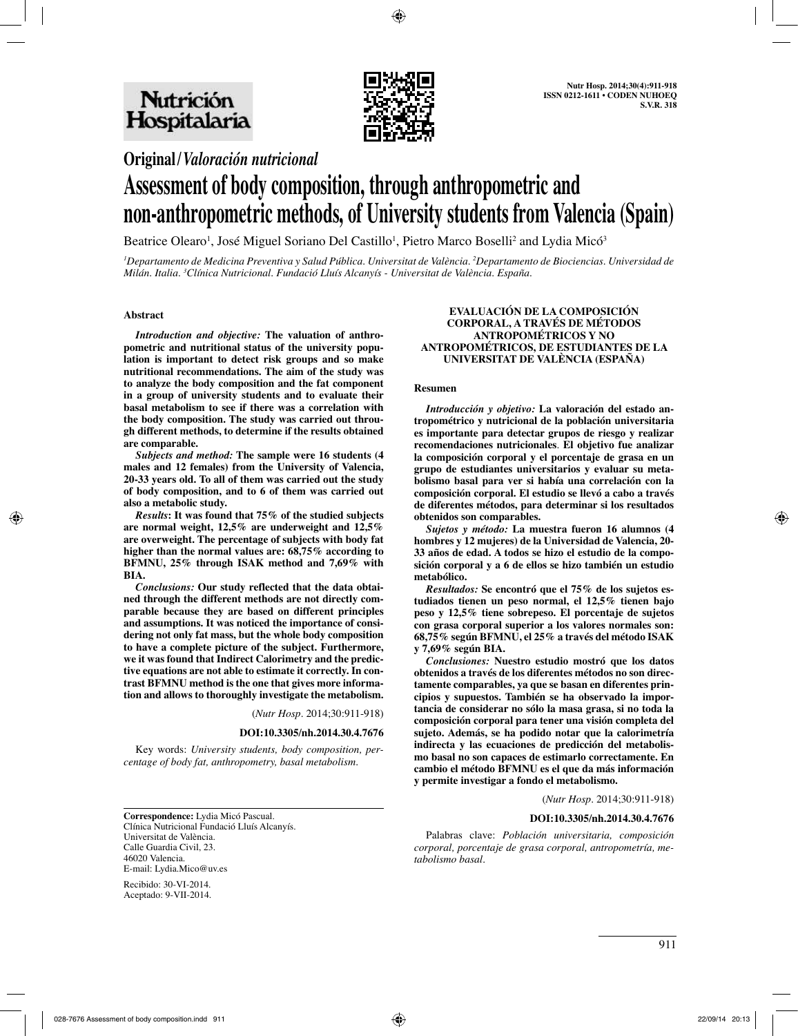

# **Original/***Valoración nutricional*

# **Assessment of body composition, through anthropometric and non-anthropometric methods, of University students from Valencia (Spain)**

Beatrice Olearo<sup>1</sup>, José Miguel Soriano Del Castillo<sup>1</sup>, Pietro Marco Boselli<sup>2</sup> and Lydia Micó<sup>3</sup>

*1 Departamento de Medicina Preventiva y Salud Pública. Universitat de València. 2 Departamento de Biociencias. Universidad de Milán. Italia. 3 Clínica Nutricional. Fundació Lluís Alcanyís - Universitat de València. España.*

# **Abstract**

*Introduction and objective:* **The valuation of anthropometric and nutritional status of the university population is important to detect risk groups and so make nutritional recommendations. The aim of the study was to analyze the body composition and the fat component in a group of university students and to evaluate their basal metabolism to see if there was a correlation with the body composition. The study was carried out through different methods, to determine if the results obtained are comparable.**

*Subjects and method:* **The sample were 16 students (4 males and 12 females) from the University of Valencia, 20-33 years old. To all of them was carried out the study of body composition, and to 6 of them was carried out also a metabolic study.**

*Results***: It was found that 75% of the studied subjects are normal weight, 12,5% are underweight and 12,5% are overweight. The percentage of subjects with body fat higher than the normal values are: 68,75% according to BFMNU, 25% through ISAK method and 7,69% with BIA.**

*Conclusions:* **Our study reflected that the data obtained through the different methods are not directly comparable because they are based on different principles and assumptions. It was noticed the importance of considering not only fat mass, but the whole body composition to have a complete picture of the subject. Furthermore, we it was found that Indirect Calorimetry and the predictive equations are not able to estimate it correctly. In contrast BFMNU method is the one that gives more information and allows to thoroughly investigate the metabolism.**

(*Nutr Hosp.* 2014;30:911-918)

# **DOI:10.3305/nh.2014.30.4.7676**

Key words: *University students, body composition, percentage of body fat, anthropometry, basal metabolism.*

**EVALUACIÓN DE LA COMPOSICIÓN CORPORAL, A TRAVÉS DE MÉTODOS ANTROPOMÉTRICOS Y NO ANTROPOMÉTRICOS, DE ESTUDIANTES DE LA UNIVERSITAT DE VALÈNCIA (ESPAÑA)**

# **Resumen**

*Introducción y objetivo:* **La valoración del estado antropométrico y nutricional de la población universitaria es importante para detectar grupos de riesgo y realizar recomendaciones nutricionales***.* **El objetivo fue analizar la composición corporal y el porcentaje de grasa en un grupo de estudiantes universitarios y evaluar su metabolismo basal para ver si había una correlación con la composición corporal. El estudio se llevó a cabo a través de diferentes métodos, para determinar si los resultados obtenidos son comparables.**

*Sujetos y método:* **La muestra fueron 16 alumnos (4 hombres y 12 mujeres) de la Universidad de Valencia, 20- 33 años de edad. A todos se hizo el estudio de la composición corporal y a 6 de ellos se hizo también un estudio metabólico.**

*Resultados:* **Se encontró que el 75% de los sujetos estudiados tienen un peso normal, el 12,5% tienen bajo peso y 12,5% tiene sobrepeso. El porcentaje de sujetos con grasa corporal superior a los valores normales son: 68,75% según BFMNU, el 25% a través del método ISAK y 7,69% según BIA.**

*Conclusiones:* **Nuestro estudio mostró que los datos obtenidos a través de los diferentes métodos no son directamente comparables, ya que se basan en diferentes principios y supuestos. También se ha observado la importancia de considerar no sólo la masa grasa, si no toda la composición corporal para tener una visión completa del sujeto. Además, se ha podido notar que la calorimetría indirecta y las ecuaciones de predicción del metabolismo basal no son capaces de estimarlo correctamente. En cambio el método BFMNU es el que da más información y permite investigar a fondo el metabolismo.**

(*Nutr Hosp.* 2014;30:911-918)

# **DOI:10.3305/nh.2014.30.4.7676**

Palabras clave: *Población universitaria, composición corporal, porcentaje de grasa corporal, antropometría, metabolismo basal.*

**Correspondence:** Lydia Micó Pascual. Clínica Nutricional Fundació Lluís Alcanyís. Universitat de València. Calle Guardia Civil, 23. 46020 Valencia. E-mail: Lydia.Mico@uv.es

Recibido: 30-VI-2014. Aceptado: 9-VII-2014.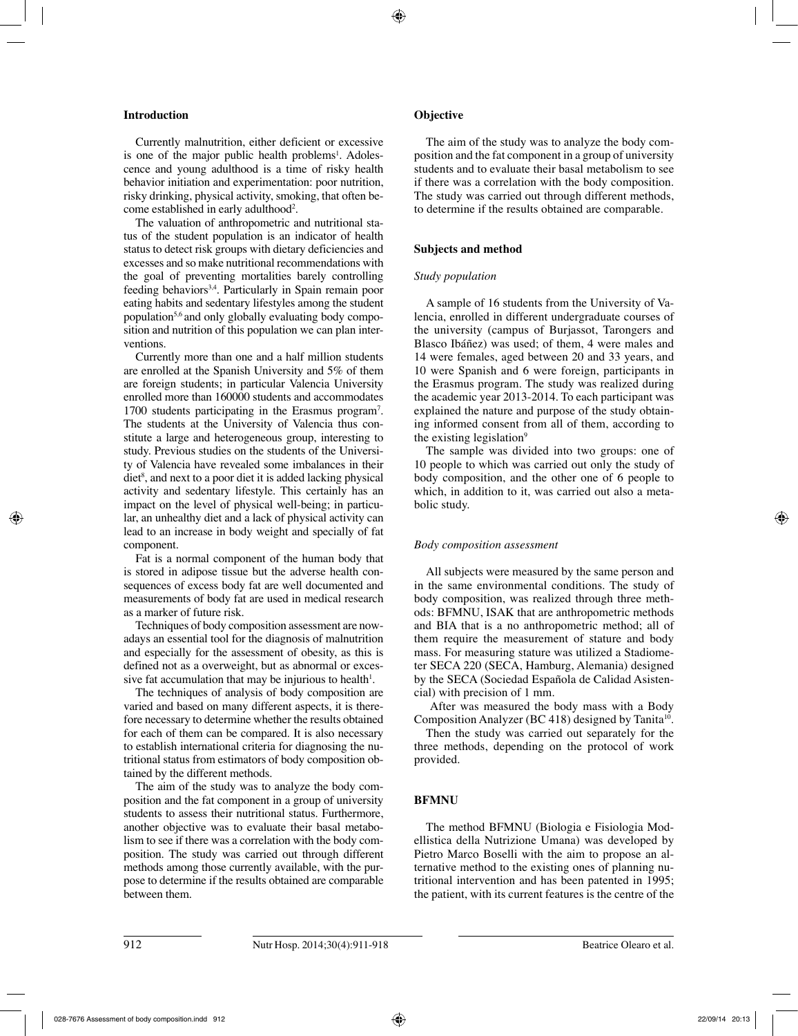# **Introduction**

Currently malnutrition, either deficient or excessive is one of the major public health problems<sup>1</sup>. Adolescence and young adulthood is a time of risky health behavior initiation and experimentation: poor nutrition, risky drinking, physical activity, smoking, that often become established in early adulthood<sup>2</sup>.

The valuation of anthropometric and nutritional status of the student population is an indicator of health status to detect risk groups with dietary deficiencies and excesses and so make nutritional recommendations with the goal of preventing mortalities barely controlling feeding behaviors3,4. Particularly in Spain remain poor eating habits and sedentary lifestyles among the student population5,6 and only globally evaluating body composition and nutrition of this population we can plan interventions.

Currently more than one and a half million students are enrolled at the Spanish University and 5% of them are foreign students; in particular Valencia University enrolled more than 160000 students and accommodates 1700 students participating in the Erasmus program7 . The students at the University of Valencia thus constitute a large and heterogeneous group, interesting to study. Previous studies on the students of the University of Valencia have revealed some imbalances in their diet<sup>8</sup>, and next to a poor diet it is added lacking physical activity and sedentary lifestyle. This certainly has an impact on the level of physical well-being; in particular, an unhealthy diet and a lack of physical activity can lead to an increase in body weight and specially of fat component.

Fat is a normal component of the human body that is stored in adipose tissue but the adverse health consequences of excess body fat are well documented and measurements of body fat are used in medical research as a marker of future risk.

Techniques of body composition assessment are nowadays an essential tool for the diagnosis of malnutrition and especially for the assessment of obesity, as this is defined not as a overweight, but as abnormal or excessive fat accumulation that may be injurious to health $l$ .

The techniques of analysis of body composition are varied and based on many different aspects, it is therefore necessary to determine whether the results obtained for each of them can be compared. It is also necessary to establish international criteria for diagnosing the nutritional status from estimators of body composition obtained by the different methods.

The aim of the study was to analyze the body composition and the fat component in a group of university students to assess their nutritional status. Furthermore, another objective was to evaluate their basal metabolism to see if there was a correlation with the body composition. The study was carried out through different methods among those currently available, with the purpose to determine if the results obtained are comparable between them.

# **Objective**

The aim of the study was to analyze the body composition and the fat component in a group of university students and to evaluate their basal metabolism to see if there was a correlation with the body composition. The study was carried out through different methods, to determine if the results obtained are comparable.

# **Subjects and method**

# *Study population*

A sample of 16 students from the University of Valencia, enrolled in different undergraduate courses of the university (campus of Burjassot, Tarongers and Blasco Ibáñez) was used; of them, 4 were males and 14 were females, aged between 20 and 33 years, and 10 were Spanish and 6 were foreign, participants in the Erasmus program. The study was realized during the academic year 2013-2014. To each participant was explained the nature and purpose of the study obtaining informed consent from all of them, according to the existing legislation $9$ 

The sample was divided into two groups: one of 10 people to which was carried out only the study of body composition, and the other one of 6 people to which, in addition to it, was carried out also a metabolic study.

# *Body composition assessment*

All subjects were measured by the same person and in the same environmental conditions. The study of body composition, was realized through three methods: BFMNU, ISAK that are anthropometric methods and BIA that is a no anthropometric method; all of them require the measurement of stature and body mass. For measuring stature was utilized a Stadiometer SECA 220 (SECA, Hamburg, Alemania) designed by the SECA (Sociedad Española de Calidad Asistencial) with precision of 1 mm.

 After was measured the body mass with a Body Composition Analyzer (BC 418) designed by Tanita<sup>10</sup>.

Then the study was carried out separately for the three methods, depending on the protocol of work provided.

# **BFMNU**

The method BFMNU (Biologia e Fisiologia Modellistica della Nutrizione Umana) was developed by Pietro Marco Boselli with the aim to propose an alternative method to the existing ones of planning nutritional intervention and has been patented in 1995; the patient, with its current features is the centre of the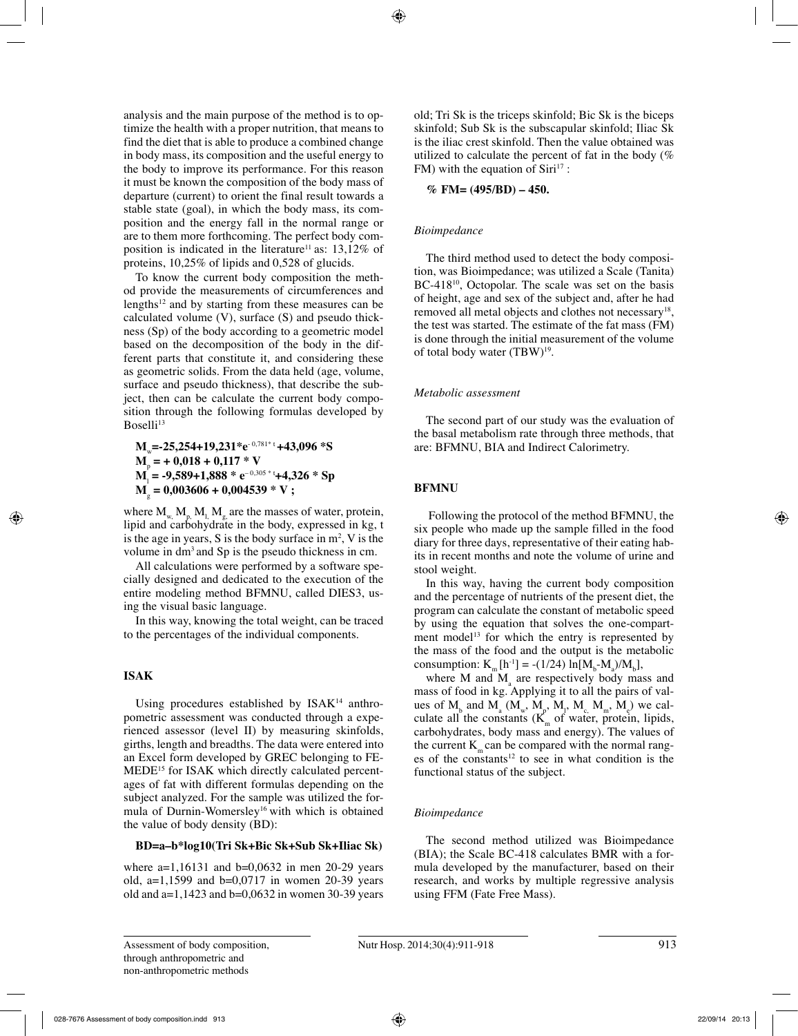analysis and the main purpose of the method is to optimize the health with a proper nutrition, that means to find the diet that is able to produce a combined change in body mass, its composition and the useful energy to the body to improve its performance. For this reason it must be known the composition of the body mass of departure (current) to orient the final result towards a stable state (goal), in which the body mass, its composition and the energy fall in the normal range or are to them more forthcoming. The perfect body composition is indicated in the literature<sup>11</sup> as:  $13,12\%$  of proteins, 10,25% of lipids and 0,528 of glucids.

To know the current body composition the method provide the measurements of circumferences and lengths $12$  and by starting from these measures can be calculated volume (V), surface (S) and pseudo thickness (Sp) of the body according to a geometric model based on the decomposition of the body in the different parts that constitute it, and considering these as geometric solids. From the data held (age, volume, surface and pseudo thickness), that describe the subject, then can be calculate the current body composition through the following formulas developed by  $Bose11i<sup>13</sup>$ 

**M**w**=-25,254+19,231\*e**- 0,781\* t **+43,096 \*S M**<sup>p</sup>  **= + 0,018 + 0,117 \* V M**l  **= -9,589+1,888 \* e**– 0,305 \* t**+4,326 \* Sp M**<sup>g</sup>  **= 0,003606 + 0,004539 \* V ;**

where  $M_{\mu}$ ,  $M_{\mu}$ ,  $M_{\mu}$  are the masses of water, protein, lipid and carbohydrate in the body, expressed in kg, t is the age in years, S is the body surface in  $m^2$ , V is the volume in dm3 and Sp is the pseudo thickness in cm.

All calculations were performed by a software specially designed and dedicated to the execution of the entire modeling method BFMNU, called DIES3, using the visual basic language.

In this way, knowing the total weight, can be traced to the percentages of the individual components.

# **ISAK**

Using procedures established by ISAK<sup>14</sup> anthropometric assessment was conducted through a experienced assessor (level II) by measuring skinfolds, girths, length and breadths. The data were entered into an Excel form developed by GREC belonging to FE-MEDE15 for ISAK which directly calculated percentages of fat with different formulas depending on the subject analyzed. For the sample was utilized the formula of Durnin-Womersley<sup>16</sup> with which is obtained the value of body density (BD):

# **BD=a–b\*log10(Tri Sk+Bic Sk+Sub Sk+Iliac Sk)**

where  $a=1,16131$  and  $b=0,0632$  in men 20-29 years old, a=1,1599 and b=0,0717 in women 20-39 years old and  $a=1,1423$  and  $b=0,0632$  in women 30-39 years old; Tri Sk is the triceps skinfold; Bic Sk is the biceps skinfold; Sub Sk is the subscapular skinfold; Iliac Sk is the iliac crest skinfold. Then the value obtained was utilized to calculate the percent of fat in the body (% FM) with the equation of  $Siri^{17}$ :

**% FM= (495/BD) – 450.**

# *Bioimpedance*

The third method used to detect the body composition, was Bioimpedance; was utilized a Scale (Tanita) BC-418<sup>10</sup>, Octopolar. The scale was set on the basis of height, age and sex of the subject and, after he had removed all metal objects and clothes not necessary<sup>18</sup>, the test was started. The estimate of the fat mass (FM) is done through the initial measurement of the volume of total body water (TBW)<sup>19</sup>.

# *Metabolic assessment*

The second part of our study was the evaluation of the basal metabolism rate through three methods, that are: BFMNU, BIA and Indirect Calorimetry.

# **BFMNU**

 Following the protocol of the method BFMNU, the six people who made up the sample filled in the food diary for three days, representative of their eating habits in recent months and note the volume of urine and stool weight.

In this way, having the current body composition and the percentage of nutrients of the present diet, the program can calculate the constant of metabolic speed by using the equation that solves the one-compartment model<sup>13</sup> for which the entry is represented by the mass of the food and the output is the metabolic consumption:  $K_m[h^{-1}] = -(1/24) \ln[M_b-M_a)/M_b],$ 

where  $M$  and  $M$ <sub>a</sub> are respectively body mass and mass of food in kg. Applying it to all the pairs of values of  $M_b$  and  $M_a$  ( $M_w$ ,  $M_p$ ,  $M_l$ ,  $M_c$ ,  $M_m$ ,  $M_e$ ) we calculate all the constants  $(K<sub>m</sub>$  of water, protein, lipids, carbohydrates, body mass and energy). The values of the current  $K_{\infty}$  can be compared with the normal ranges of the constants<sup>12</sup> to see in what condition is the functional status of the subject.

# *Bioimpedance*

The second method utilized was Bioimpedance (BIA); the Scale BC-418 calculates BMR with a formula developed by the manufacturer, based on their research, and works by multiple regressive analysis using FFM (Fate Free Mass).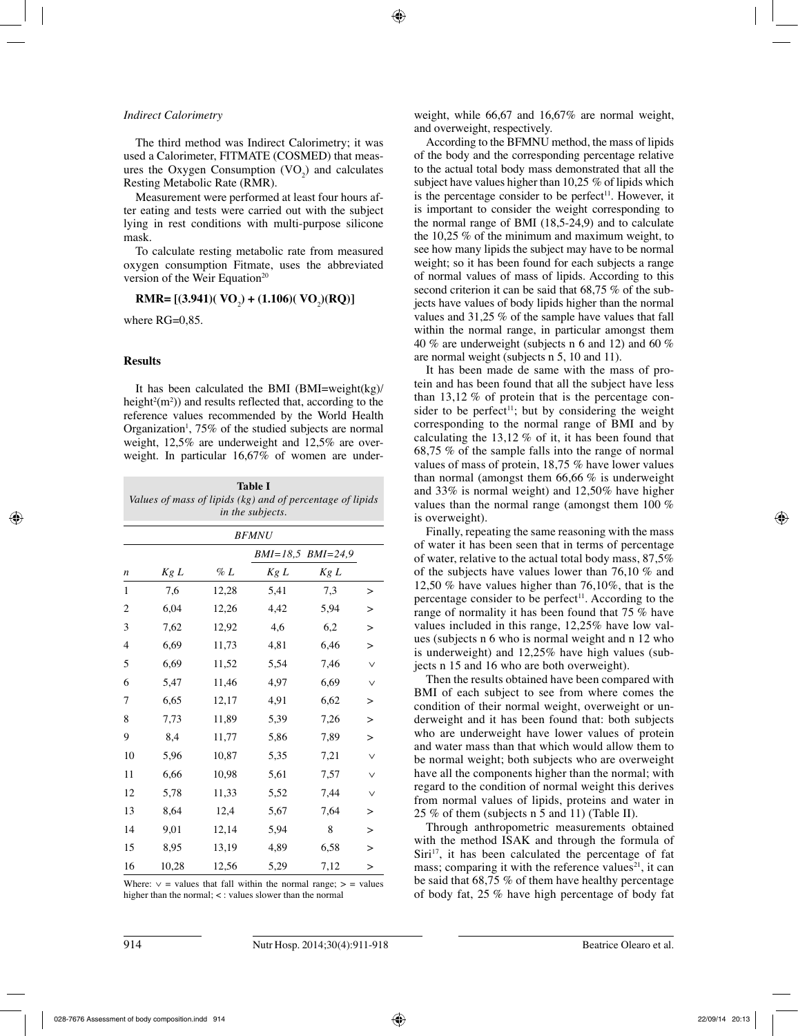### *Indirect Calorimetry*

The third method was Indirect Calorimetry; it was used a Calorimeter, FITMATE (COSMED) that measures the Oxygen Consumption  $(VO_2)$  and calculates Resting Metabolic Rate (RMR).

Measurement were performed at least four hours after eating and tests were carried out with the subject lying in rest conditions with multi-purpose silicone mask.

To calculate resting metabolic rate from measured oxygen consumption Fitmate, uses the abbreviated version of the Weir Equation<sup>20</sup>

# **RMR=**  $[(3.941)(\text{ VO}_2) + (1.106)(\text{ VO}_2)(\text{RQ})]$

where  $RG=0.85$ .

# **Results**

It has been calculated the BMI (BMI=weight(kg)/ height<sup>2</sup> $(m<sup>2</sup>)$ ) and results reflected that, according to the reference values recommended by the World Health Organization<sup>1</sup>, 75% of the studied subjects are normal weight, 12,5% are underweight and 12,5% are overweight. In particular  $16,67\%$  of women are under-

| Table I                                                   |
|-----------------------------------------------------------|
| Values of mass of lipids (kg) and of percentage of lipids |
| <i>in the subjects.</i>                                   |

| <b>BFMNU</b> |                   |        |      |      |              |  |  |
|--------------|-------------------|--------|------|------|--------------|--|--|
|              | BMI=18,5 BMI=24,9 |        |      |      |              |  |  |
| n            | Kg L              | $\%$ L | Kg L | Kg L |              |  |  |
| 1            | 7,6               | 12,28  | 5,41 | 7,3  | >            |  |  |
| 2            | 6,04              | 12,26  | 4,42 | 5,94 | $\geq$       |  |  |
| 3            | 7,62              | 12,92  | 4,6  | 6,2  | $\geq$       |  |  |
| 4            | 6,69              | 11,73  | 4,81 | 6,46 | $\geq$       |  |  |
| 5            | 6,69              | 11,52  | 5,54 | 7,46 | $\vee$       |  |  |
| 6            | 5,47              | 11,46  | 4,97 | 6,69 | $\vee$       |  |  |
| 7            | 6,65              | 12,17  | 4,91 | 6,62 | >            |  |  |
| 8            | 7,73              | 11,89  | 5,39 | 7,26 | >            |  |  |
| 9            | 8,4               | 11,77  | 5,86 | 7,89 | $\geq$       |  |  |
| 10           | 5,96              | 10,87  | 5,35 | 7,21 | $\checkmark$ |  |  |
| 11           | 6,66              | 10,98  | 5,61 | 7,57 | $\vee$       |  |  |
| 12           | 5,78              | 11,33  | 5,52 | 7,44 | $\vee$       |  |  |
| 13           | 8,64              | 12,4   | 5,67 | 7,64 | >            |  |  |
| 14           | 9,01              | 12,14  | 5,94 | 8    | $\geq$       |  |  |
| 15           | 8,95              | 13,19  | 4,89 | 6,58 | $\geq$       |  |  |
| 16           | 10,28             | 12,56  | 5,29 | 7,12 | $\geq$       |  |  |

Where:  $\vee$  = values that fall within the normal range;  $>$  = values higher than the normal; < : values slower than the normal

weight, while 66,67 and 16,67% are normal weight, and overweight, respectively.

According to the BFMNU method, the mass of lipids of the body and the corresponding percentage relative to the actual total body mass demonstrated that all the subject have values higher than 10,25 % of lipids which is the percentage consider to be perfect<sup>11</sup>. However, it is important to consider the weight corresponding to the normal range of BMI (18,5-24,9) and to calculate the 10,25 % of the minimum and maximum weight, to see how many lipids the subject may have to be normal weight; so it has been found for each subjects a range of normal values of mass of lipids. According to this second criterion it can be said that 68,75 % of the subjects have values of body lipids higher than the normal values and 31,25 % of the sample have values that fall within the normal range, in particular amongst them 40 % are underweight (subjects n 6 and 12) and 60 % are normal weight (subjects n 5, 10 and 11).

It has been made de same with the mass of protein and has been found that all the subject have less than 13,12 % of protein that is the percentage consider to be perfect<sup>11</sup>; but by considering the weight corresponding to the normal range of BMI and by calculating the 13,12 % of it, it has been found that 68,75 % of the sample falls into the range of normal values of mass of protein, 18,75 % have lower values than normal (amongst them  $66.66\%$  is underweight and 33% is normal weight) and 12,50% have higher values than the normal range (amongst them 100 % is overweight).

Finally, repeating the same reasoning with the mass of water it has been seen that in terms of percentage of water, relative to the actual total body mass, 87,5% of the subjects have values lower than 76,10 % and 12,50 % have values higher than 76,10%, that is the percentage consider to be perfect<sup>11</sup>. According to the range of normality it has been found that 75 % have values included in this range, 12,25% have low values (subjects n 6 who is normal weight and n 12 who is underweight) and 12,25% have high values (subjects n 15 and 16 who are both overweight).

Then the results obtained have been compared with BMI of each subject to see from where comes the condition of their normal weight, overweight or underweight and it has been found that: both subjects who are underweight have lower values of protein and water mass than that which would allow them to be normal weight; both subjects who are overweight have all the components higher than the normal; with regard to the condition of normal weight this derives from normal values of lipids, proteins and water in 25 % of them (subjects n 5 and 11) (Table II).

Through anthropometric measurements obtained with the method ISAK and through the formula of  $Siri<sup>17</sup>$ , it has been calculated the percentage of fat mass; comparing it with the reference values<sup>21</sup>, it can be said that 68,75 % of them have healthy percentage of body fat, 25 % have high percentage of body fat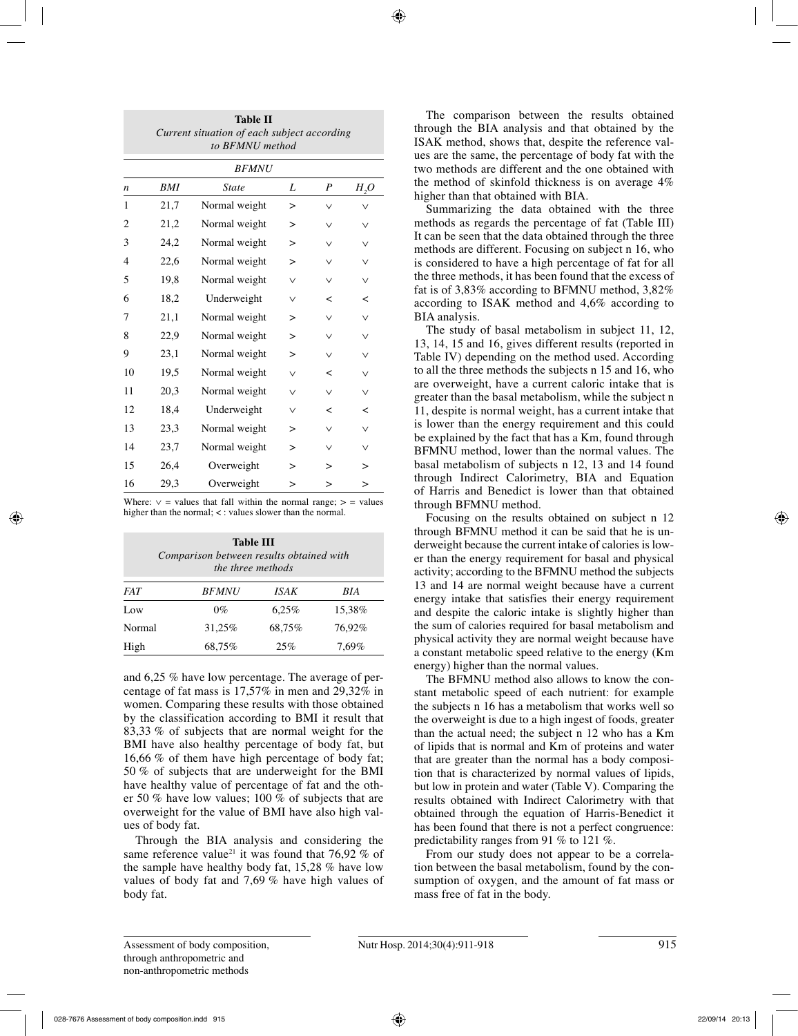| <b>Table II</b><br>Current situation of each subject according<br>to BFMNU method |              |               |              |                  |        |  |  |  |  |
|-----------------------------------------------------------------------------------|--------------|---------------|--------------|------------------|--------|--|--|--|--|
|                                                                                   | <b>BFMNU</b> |               |              |                  |        |  |  |  |  |
| $\boldsymbol{n}$                                                                  | BMI          | <b>State</b>  | L            | $\boldsymbol{P}$ | $H_2O$ |  |  |  |  |
| 1                                                                                 | 21,7         | Normal weight | >            | ∨                | ν      |  |  |  |  |
| $\overline{c}$                                                                    | 21,2         | Normal weight | $\geq$       | $\vee$           | $\vee$ |  |  |  |  |
| 3                                                                                 | 24,2         | Normal weight | ⋗            | $\vee$           | $\vee$ |  |  |  |  |
| $\overline{4}$                                                                    | 22,6         | Normal weight | >            | $\vee$           | $\vee$ |  |  |  |  |
| 5                                                                                 | 19,8         | Normal weight |              | $\checkmark$     | $\vee$ |  |  |  |  |
| 6                                                                                 | 18,2         | Underweight   | $\checkmark$ | ≺                | ≺      |  |  |  |  |
| 7                                                                                 | 21,1         | Normal weight | $\mathbf{r}$ | $\vee$           | $\vee$ |  |  |  |  |
| 8                                                                                 | 22,9         | Normal weight | ⋗            | $\vee$           | $\vee$ |  |  |  |  |
| 9                                                                                 | 23,1         | Normal weight | >            | $\vee$           | $\vee$ |  |  |  |  |
| 10                                                                                | 19,5         | Normal weight | $\checkmark$ | ≺                | $\vee$ |  |  |  |  |
| 11                                                                                | 20,3         | Normal weight | $\vee$       | $\vee$           | $\vee$ |  |  |  |  |
| 12                                                                                | 18,4         | Underweight   | $\vee$       | ≺                | ≺      |  |  |  |  |
| 13                                                                                | 23,3         | Normal weight | $\geq$       | $\vee$           | $\vee$ |  |  |  |  |
| 14                                                                                | 23,7         | Normal weight | ⋗            | $\vee$           | $\vee$ |  |  |  |  |
| 15                                                                                | 26,4         | Overweight    | >            | >                | $\geq$ |  |  |  |  |
| 16                                                                                | 29,3         | Overweight    | ↘            | >                | $\geq$ |  |  |  |  |

Where:  $\vee$  = values that fall within the normal range; > = values higher than the normal; <: values slower than the normal.

| Table III<br>Comparison between results obtained with<br>the three methods |              |        |        |  |  |  |  |
|----------------------------------------------------------------------------|--------------|--------|--------|--|--|--|--|
| <b>FAT</b>                                                                 | <i>BFMNU</i> | ISAK   | BIA    |  |  |  |  |
| Low                                                                        | $0\%$        | 6.25%  | 15,38% |  |  |  |  |
| Normal                                                                     | 31.25%       | 68.75% | 76.92% |  |  |  |  |
| High                                                                       | 68,75%       | 25%    | 7.69%  |  |  |  |  |

and 6,25 % have low percentage. The average of percentage of fat mass is 17,57% in men and 29,32% in women. Comparing these results with those obtained by the classification according to BMI it result that 83,33 % of subjects that are normal weight for the BMI have also healthy percentage of body fat, but 16,66 % of them have high percentage of body fat; 50 % of subjects that are underweight for the BMI have healthy value of percentage of fat and the other 50 % have low values; 100 % of subjects that are overweight for the value of BMI have also high values of body fat.

Through the BIA analysis and considering the same reference value<sup>21</sup> it was found that 76,92 % of the sample have healthy body fat, 15,28 % have low values of body fat and 7,69 % have high values of body fat.

The comparison between the results obtained through the BIA analysis and that obtained by the ISAK method, shows that, despite the reference values are the same, the percentage of body fat with the two methods are different and the one obtained with the method of skinfold thickness is on average 4% higher than that obtained with BIA.

Summarizing the data obtained with the three methods as regards the percentage of fat (Table III) It can be seen that the data obtained through the three methods are different. Focusing on subject n 16, who is considered to have a high percentage of fat for all the three methods, it has been found that the excess of fat is of 3,83% according to BFMNU method, 3,82% according to ISAK method and 4,6% according to BIA analysis.

The study of basal metabolism in subject 11, 12, 13, 14, 15 and 16, gives different results (reported in Table IV) depending on the method used. According to all the three methods the subjects n 15 and 16, who are overweight, have a current caloric intake that is greater than the basal metabolism, while the subject n 11, despite is normal weight, has a current intake that is lower than the energy requirement and this could be explained by the fact that has a Km, found through BFMNU method, lower than the normal values. The basal metabolism of subjects n 12, 13 and 14 found through Indirect Calorimetry, BIA and Equation of Harris and Benedict is lower than that obtained through BFMNU method.

Focusing on the results obtained on subject n 12 through BFMNU method it can be said that he is underweight because the current intake of calories is lower than the energy requirement for basal and physical activity; according to the BFMNU method the subjects 13 and 14 are normal weight because have a current energy intake that satisfies their energy requirement and despite the caloric intake is slightly higher than the sum of calories required for basal metabolism and physical activity they are normal weight because have a constant metabolic speed relative to the energy (Km energy) higher than the normal values.

The BFMNU method also allows to know the constant metabolic speed of each nutrient: for example the subjects n 16 has a metabolism that works well so the overweight is due to a high ingest of foods, greater than the actual need; the subject n 12 who has a Km of lipids that is normal and Km of proteins and water that are greater than the normal has a body composition that is characterized by normal values of lipids, but low in protein and water (Table V). Comparing the results obtained with Indirect Calorimetry with that obtained through the equation of Harris-Benedict it has been found that there is not a perfect congruence: predictability ranges from 91 % to 121 %.

From our study does not appear to be a correlation between the basal metabolism, found by the consumption of oxygen, and the amount of fat mass or mass free of fat in the body.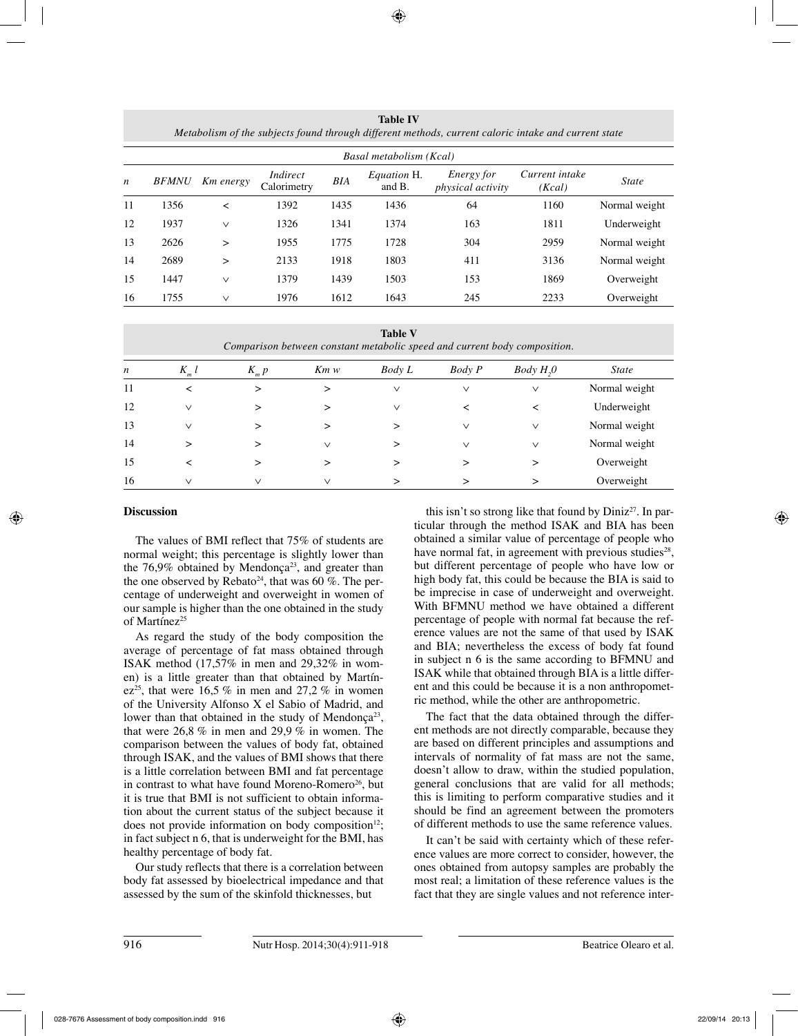**Table IV** *Metabolism of the subjects found through different methods, current caloric intake and current state*

|                  | Basal metabolism (Kcal) |           |                         |      |                       |                                               |                          |               |
|------------------|-------------------------|-----------|-------------------------|------|-----------------------|-----------------------------------------------|--------------------------|---------------|
| $\boldsymbol{n}$ | <b>BFMNU</b>            | Km energy | Indirect<br>Calorimetry | BIA  | Equation H.<br>and B. | <i>Energy for</i><br><i>physical activity</i> | Current intake<br>(Kcal) | <b>State</b>  |
| 11               | 1356                    | ≺         | 1392                    | 1435 | 1436                  | 64                                            | 1160                     | Normal weight |
| 12               | 1937                    | $\vee$    | 1326                    | 1341 | 1374                  | 163                                           | 1811                     | Underweight   |
| 13               | 2626                    | $\geq$    | 1955                    | 1775 | 1728                  | 304                                           | 2959                     | Normal weight |
| 14               | 2689                    | $\geq$    | 2133                    | 1918 | 1803                  | 411                                           | 3136                     | Normal weight |
| 15               | 1447                    | $\vee$    | 1379                    | 1439 | 1503                  | 153                                           | 1869                     | Overweight    |
| 16               | 1755                    | $\vee$    | 1976                    | 1612 | 1643                  | 245                                           | 2233                     | Overweight    |

| <b>Table V</b><br>Comparison between constant metabolic speed and current body composition. |              |           |              |        |               |                       |               |
|---------------------------------------------------------------------------------------------|--------------|-----------|--------------|--------|---------------|-----------------------|---------------|
| n                                                                                           | $K$ l<br>m   | $K_{m} p$ | Km w         | Body L | <b>Body</b> P | Body H <sub>2</sub> 0 | <i>State</i>  |
| 11                                                                                          | ≺            | $\geq$    | >            | $\vee$ | $\vee$        | $\vee$                | Normal weight |
| 12                                                                                          | $\vee$       | >         | >            | $\vee$ | <             | ≺                     | Underweight   |
| 13                                                                                          | $\vee$       | >         | >            | >      | $\vee$        | $\vee$                | Normal weight |
| 14                                                                                          | >            | >         | $\checkmark$ | >      | $\vee$        | $\vee$                | Normal weight |
| 15                                                                                          | ≺            | ➢         | >            | >      | >             | >                     | Overweight    |
| 16                                                                                          | $\checkmark$ | $\vee$    | $\checkmark$ |        |               |                       | Overweight    |

# **Discussion**

The values of BMI reflect that 75% of students are normal weight; this percentage is slightly lower than the  $76,9\%$  obtained by Mendonça<sup>23</sup>, and greater than the one observed by Rebato<sup>24</sup>, that was 60 %. The percentage of underweight and overweight in women of our sample is higher than the one obtained in the study of Martínez<sup>25</sup>

As regard the study of the body composition the average of percentage of fat mass obtained through ISAK method (17,57% in men and 29,32% in women) is a little greater than that obtained by Martínez<sup>25</sup>, that were 16.5 % in men and 27.2 % in women of the University Alfonso X el Sabio of Madrid, and lower than that obtained in the study of Mendonça<sup>23</sup>, that were 26,8 % in men and 29,9 % in women. The comparison between the values of body fat, obtained through ISAK, and the values of BMI shows that there is a little correlation between BMI and fat percentage in contrast to what have found Moreno-Romero<sup>26</sup>, but it is true that BMI is not sufficient to obtain information about the current status of the subject because it does not provide information on body composition $12$ ; in fact subject n 6, that is underweight for the BMI, has healthy percentage of body fat.

Our study reflects that there is a correlation between body fat assessed by bioelectrical impedance and that assessed by the sum of the skinfold thicknesses, but

this isn't so strong like that found by  $Diniz^{27}$ . In particular through the method ISAK and BIA has been obtained a similar value of percentage of people who have normal fat, in agreement with previous studies<sup>28</sup>, but different percentage of people who have low or high body fat, this could be because the BIA is said to be imprecise in case of underweight and overweight. With BFMNU method we have obtained a different percentage of people with normal fat because the reference values are not the same of that used by ISAK and BIA; nevertheless the excess of body fat found in subject n 6 is the same according to BFMNU and ISAK while that obtained through BIA is a little different and this could be because it is a non anthropometric method, while the other are anthropometric.

The fact that the data obtained through the different methods are not directly comparable, because they are based on different principles and assumptions and intervals of normality of fat mass are not the same, doesn't allow to draw, within the studied population, general conclusions that are valid for all methods; this is limiting to perform comparative studies and it should be find an agreement between the promoters of different methods to use the same reference values.

It can't be said with certainty which of these reference values are more correct to consider, however, the ones obtained from autopsy samples are probably the most real; a limitation of these reference values is the fact that they are single values and not reference inter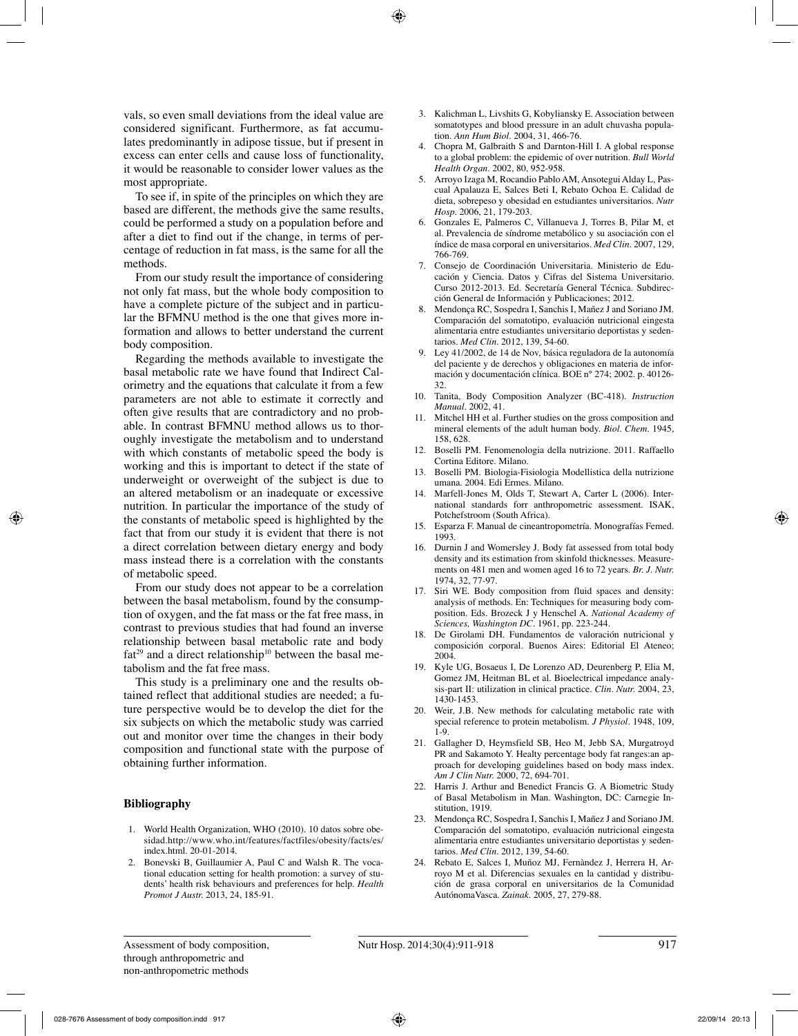vals, so even small deviations from the ideal value are considered significant. Furthermore, as fat accumulates predominantly in adipose tissue, but if present in excess can enter cells and cause loss of functionality, it would be reasonable to consider lower values as the most appropriate.

To see if, in spite of the principles on which they are based are different, the methods give the same results, could be performed a study on a population before and after a diet to find out if the change, in terms of percentage of reduction in fat mass, is the same for all the methods.

From our study result the importance of considering not only fat mass, but the whole body composition to have a complete picture of the subject and in particular the BFMNU method is the one that gives more information and allows to better understand the current body composition.

Regarding the methods available to investigate the basal metabolic rate we have found that Indirect Calorimetry and the equations that calculate it from a few parameters are not able to estimate it correctly and often give results that are contradictory and no probable. In contrast BFMNU method allows us to thoroughly investigate the metabolism and to understand with which constants of metabolic speed the body is working and this is important to detect if the state of underweight or overweight of the subject is due to an altered metabolism or an inadequate or excessive nutrition. In particular the importance of the study of the constants of metabolic speed is highlighted by the fact that from our study it is evident that there is not a direct correlation between dietary energy and body mass instead there is a correlation with the constants of metabolic speed.

From our study does not appear to be a correlation between the basal metabolism, found by the consumption of oxygen, and the fat mass or the fat free mass, in contrast to previous studies that had found an inverse relationship between basal metabolic rate and body  $fat^{29}$  and a direct relationship<sup>10</sup> between the basal metabolism and the fat free mass.

This study is a preliminary one and the results obtained reflect that additional studies are needed; a future perspective would be to develop the diet for the six subjects on which the metabolic study was carried out and monitor over time the changes in their body composition and functional state with the purpose of obtaining further information.

# **Bibliography**

- 1. World Health Organization, WHO (2010). 10 datos sobre obesidad.http://www.who.int/features/factfiles/obesity/facts/es/ index.html. 20-01-2014.
- 2. Bonevski B, Guillaumier A, Paul C and Walsh R. The vocational education setting for health promotion: a survey of students' health risk behaviours and preferences for help. *Health Promot J Austr.* 2013, 24, 185-91.
- 3. Kalichman L, Livshits G, Kobyliansky E. Association between somatotypes and blood pressure in an adult chuvasha population. *Ann Hum Biol.* 2004, 31, 466-76.
- 4. Chopra M, Galbraith S and Darnton-Hill I. A global response to a global problem: the epidemic of over nutrition. *Bull World Health Organ.* 2002, 80, 952-958.
- 5. Arroyo Izaga M, Rocandio Pablo AM, Ansotegui Alday L, Pascual Apalauza E, Salces Beti I, Rebato Ochoa E. Calidad de dieta, sobrepeso y obesidad en estudiantes universitarios. *Nutr Hosp.* 2006, 21, 179-203.
- 6. Gonzales E, Palmeros C, Villanueva J, Torres B, Pilar M, et al. Prevalencia de síndrome metabólico y su asociación con el índice de masa corporal en universitarios. *Med Clin.* 2007, 129, 766-769.
- 7. Consejo de Coordinación Universitaria. Ministerio de Educación y Ciencia. Datos y Cifras del Sistema Universitario. Curso 2012-2013. Ed. Secretaría General Técnica. Subdirección General de Información y Publicaciones; 2012.
- 8. Mendonça RC, Sospedra I, Sanchis I, Mañez J and Soriano JM. Comparación del somatotipo, evaluación nutricional eingesta alimentaria entre estudiantes universitario deportistas y sedentarios. *Med Clin.* 2012, 139, 54-60.
- 9. Ley 41/2002, de 14 de Nov, básica reguladora de la autonomía del paciente y de derechos y obligaciones en materia de información y documentación clínica. BOE n° 274; 2002. p. 40126- 32.
- 10. Tanita, Body Composition Analyzer (BC-418). *Instruction Manual.* 2002, 41.
- Mitchel HH et al. Further studies on the gross composition and mineral elements of the adult human body. *Biol. Chem.* 1945, 158, 628.
- 12. Boselli PM. Fenomenologia della nutrizione. 2011. Raffaello Cortina Editore. Milano.
- 13. Boselli PM. Biologia-Fisiologia Modellistica della nutrizione umana. 2004. Edi Ermes. Milano.
- 14. Marfell-Jones M, Olds T, Stewart A, Carter L (2006). International standards forr anthropometric assessment. ISAK, Potchefstroom (South Africa).
- 15. Esparza F. Manual de cineantropometría. Monografías Femed. 1993.
- 16. Durnin J and Womersley J. Body fat assessed from total body density and its estimation from skinfold thicknesses. Measurements on 481 men and women aged 16 to 72 years. *Br. J. Nutr.* 1974, 32, 77-97.
- 17. Siri WE. Body composition from fluid spaces and density: analysis of methods. En: Techniques for measuring body composition. Eds. Brozeck J y Henschel A. *National Academy of Sciences, Washington DC.* 1961, pp. 223-244.
- 18. De Girolami DH. Fundamentos de valoración nutricional y composición corporal. Buenos Aires: Editorial El Ateneo; 2004.
- 19. Kyle UG, Bosaeus I, De Lorenzo AD, Deurenberg P, Elia M, Gomez JM, Heitman BL et al. Bioelectrical impedance analysis-part II: utilization in clinical practice. *Clin. Nutr.* 2004, 23, 1430-1453.
- 20. Weir, J.B. New methods for calculating metabolic rate with special reference to protein metabolism. *J Physiol.* 1948, 109, 1-9.
- 21. Gallagher D, Heymsfield SB, Heo M, Jebb SA, Murgatroyd PR and Sakamoto Y. Healty percentage body fat ranges:an approach for developing guidelines based on body mass index. *Am J Clin Nutr.* 2000, 72, 694-701.
- 22. Harris J. Arthur and Benedict Francis G. A Biometric Study of Basal Metabolism in Man. Washington, DC: Carnegie Institution, 1919.
- 23. Mendonça RC, Sospedra I, Sanchis I, Mañez J and Soriano JM. Comparación del somatotipo, evaluación nutricional eingesta alimentaria entre estudiantes universitario deportistas y sedentarios. *Med Clin.* 2012, 139, 54-60.
- 24. Rebato E, Salces I, Muñoz MJ, Fernàndez J, Herrera H, Arroyo M et al. Diferencias sexuales en la cantidad y distribución de grasa corporal en universitarios de la Comunidad AutónomaVasca. *Zainak.* 2005, 27, 279-88.